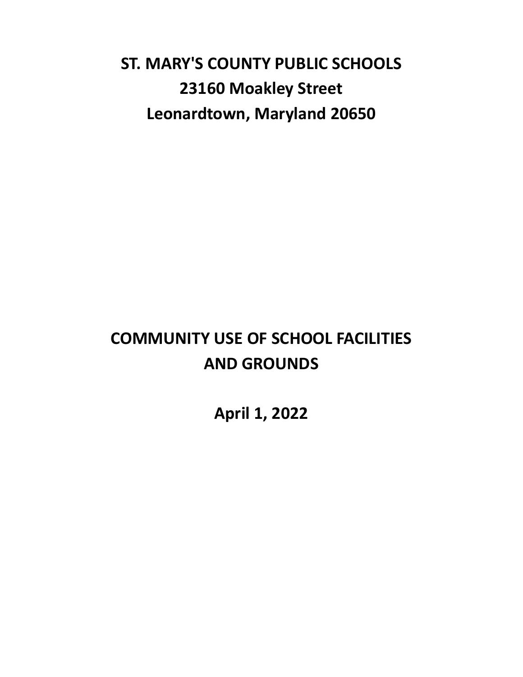# **ST. MARY'S COUNTY PUBLIC SCHOOLS 23160 Moakley Street Leonardtown, Maryland 20650**

# **COMMUNITY USE OF SCHOOL FACILITIES AND GROUNDS**

**April 1, 2022**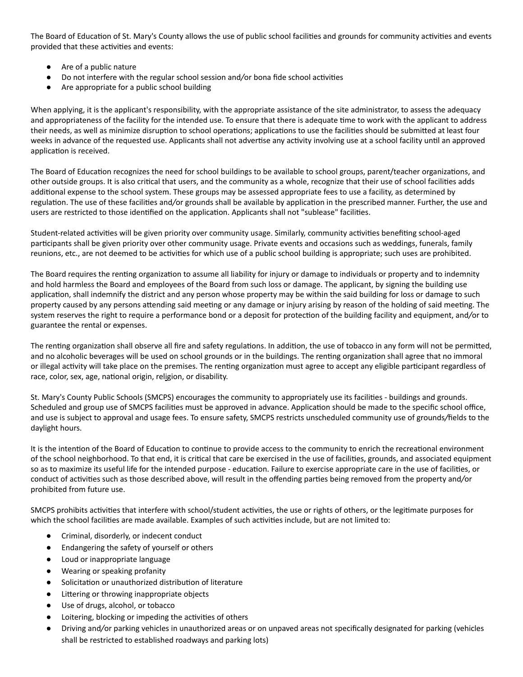The Board of Education of St. Mary's County allows the use of public school facilities and grounds for community activities and events provided that these activities and events:

- Are of a public nature
- Do not interfere with the regular school session and/or bona fide school activities
- Are appropriate for a public school building

When applying, it is the applicant's responsibility, with the appropriate assistance of the site administrator, to assess the adequacy and appropriateness of the facility for the intended use. To ensure that there is adequate time to work with the applicant to address their needs, as well as minimize disruption to school operations; applications to use the facilities should be submitted at least four weeks in advance of the requested use. Applicants shall not advertise any activity involving use at a school facility until an approved application is received.

The Board of Education recognizes the need for school buildings to be available to school groups, parent/teacher organizations, and other outside groups. It is also critical that users, and the community as a whole, recognize that their use of school facilities adds additional expense to the school system. These groups may be assessed appropriate fees to use a facility, as determined by regulation. The use of these facilities and/or grounds shall be available by application in the prescribed manner. Further, the use and users are restricted to those identified on the application. Applicants shall not "sublease" facilities.

Student-related activities will be given priority over community usage. Similarly, community activities benefiting school-aged participants shall be given priority over other community usage. Private events and occasions such as weddings, funerals, family reunions, etc., are not deemed to be activities for which use of a public school building is appropriate; such uses are prohibited.

The Board requires the renting organization to assume all liability for injury or damage to individuals or property and to indemnity and hold harmless the Board and employees of the Board from such loss or damage. The applicant, by signing the building use application, shall indemnify the district and any person whose property may be within the said building for loss or damage to such property caused by any persons attending said meeting or any damage or injury arising by reason of the holding of said meeting. The system reserves the right to require a performance bond or a deposit for protection of the building facility and equipment, and/or to guarantee the rental or expenses.

The renting organization shall observe all fire and safety regulations. In addition, the use of tobacco in any form will not be permitted, and no alcoholic beverages will be used on school grounds or in the buildings. The renting organization shall agree that no immoral or illegal activity will take place on the premises. The renting organization must agree to accept any eligible participant regardless of race, color, sex, age, national origin, religion, or disability.

St. Mary's County Public Schools (SMCPS) encourages the community to appropriately use its facilities - buildings and grounds. Scheduled and group use of SMCPS facilities must be approved in advance. Application should be made to the specific school office, and use is subject to approval and usage fees. To ensure safety, SMCPS restricts unscheduled community use of grounds*/*fields to the daylight hours.

It is the intention of the Board of Education to continue to provide access to the community to enrich the recreational environment of the school neighborhood. To that end, it is critical that care be exercised in the use of facilities, grounds, and associated equipment so as to maximize its useful life for the intended purpose - education. Failure to exercise appropriate care in the use of facilities, or conduct of activities such as those described above, will result in the offending parties being removed from the property and/or prohibited from future use.

SMCPS prohibits activities that interfere with school/student activities, the use or rights of others, or the legitimate purposes for which the school facilities are made available. Examples of such activities include, but are not limited to:

- Criminal, disorderly, or indecent conduct
- Endangering the safety of yourself or others
- Loud or inappropriate language
- Wearing or speaking profanity
- Solicitation or unauthorized distribution of literature
- Littering or throwing inappropriate objects
- Use of drugs, alcohol, or tobacco
- Loitering, blocking or impeding the activities of others
- Driving and*/*or parking vehicles in unauthorized areas or on unpaved areas not specifically designated for parking (vehicles shall be restricted to established roadways and parking lots)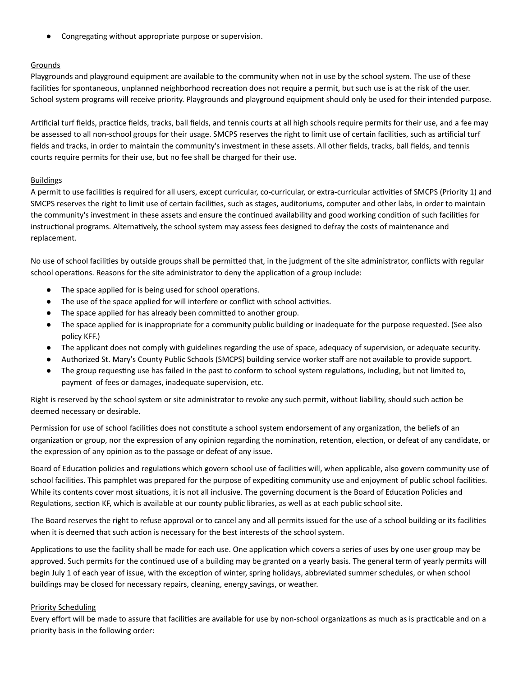Congregating without appropriate purpose or supervision.

## Grounds

Playgrounds and playground equipment are available to the community when not in use by the school system. The use of these facilities for spontaneous, unplanned neighborhood recreation does not require a permit, but such use is at the risk of the user. School system programs will receive priority. Playgrounds and playground equipment should only be used for their intended purpose.

Artificial turf fields, practice fields, tracks, ball fields, and tennis courts at all high schools require permits for their use, and a fee may be assessed to all non-school groups for their usage. SMCPS reserves the right to limit use of certain facilities, such as artificial turf fields and tracks, in order to maintain the community's investment in these assets. All other fields, tracks, ball fields, and tennis courts require permits for their use, but no fee shall be charged for their use.

## Buildings

A permit to use facilities is required for all users, except curricular, co-curricular, or extra-curricular activities of SMCPS (Priority 1) and SMCPS reserves the right to limit use of certain facilities, such as stages, auditoriums, computer and other labs, in order to maintain the community's investment in these assets and ensure the continued availability and good working condition of such facilities for instructional programs. Alternatively, the school system may assess fees designed to defray the costs of maintenance and replacement.

No use of school facilities by outside groups shall be permitted that, in the judgment of the site administrator, conflicts with regular school operations. Reasons for the site administrator to deny the application of a group include:

- The space applied for is being used for school operations.
- The use of the space applied for will interfere or conflict with school activities.
- The space applied for has already been committed to another group.
- The space applied for is inappropriate for a community public building or inadequate for the purpose requested. (See also policy KFF.)
- The applicant does not comply with guidelines regarding the use of space, adequacy of supervision, or adequate security.
- Authorized St. Mary's County Public Schools (SMCPS) building service worker staff are not available to provide support.
- The group requesting use has failed in the past to conform to school system regulations, including, but not limited to, payment of fees or damages, inadequate supervision, etc.

Right is reserved by the school system or site administrator to revoke any such permit, without liability, should such action be deemed necessary or desirable.

Permission for use of school facilities does not constitute a school system endorsement of any organization, the beliefs of an organization or group, nor the expression of any opinion regarding the nomination, retention, election, or defeat of any candidate, or the expression of any opinion as to the passage or defeat of any issue.

Board of Education policies and regulations which govern school use of facilities will, when applicable, also govern community use of school facilities. This pamphlet was prepared for the purpose of expediting community use and enjoyment of public school facilities. While its contents cover most situations, it is not all inclusive. The governing document is the Board of Education Policies and Regulations, section KF, which is available at our county public libraries, as well as at each public school site.

The Board reserves the right to refuse approval or to cancel any and all permits issued for the use of a school building or its facilities when it is deemed that such action is necessary for the best interests of the school system.

Applications to use the facility shall be made for each use. One application which covers a series of uses by one user group may be approved. Such permits for the continued use of a building may be granted on a yearly basis. The general term of yearly permits will begin July 1 of each year of issue, with the exception of winter, spring holidays, abbreviated summer schedules, or when school buildings may be closed for necessary repairs, cleaning, energy savings, or weather.

### Priority Scheduling

Every effort will be made to assure that facilities are available for use by non-school organizations as much as is practicable and on a priority basis in the following order: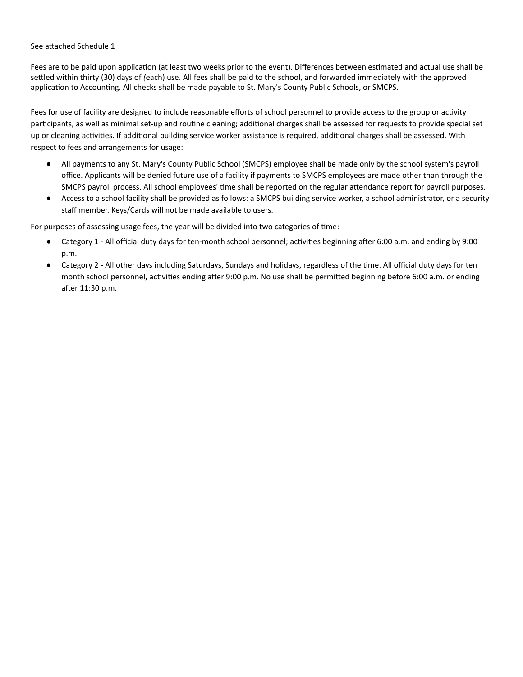See attached Schedule 1

Fees are to be paid upon application (at least two weeks prior to the event). Differences between estimated and actual use shall be seled within thirty (30) days of *(*each) use. All fees shall be paid to the school, and forwarded immediately with the approved application to Accounting. All checks shall be made payable to St. Mary's County Public Schools, or SMCPS.

Fees for use of facility are designed to include reasonable efforts of school personnel to provide access to the group or activity participants, as well as minimal set-up and routine cleaning; additional charges shall be assessed for requests to provide special set up or cleaning activities. If additional building service worker assistance is required, additional charges shall be assessed. With respect to fees and arrangements for usage:

- All payments to any St. Mary's County Public School (SMCPS) employee shall be made only by the school system's payroll office. Applicants will be denied future use of a facility if payments to SMCPS employees are made other than through the SMCPS payroll process. All school employees' time shall be reported on the regular attendance report for payroll purposes.
- Access to a school facility shall be provided as follows: a SMCPS building service worker, a school administrator, or a security staff member. Keys/Cards will not be made available to users.

For purposes of assessing usage fees, the year will be divided into two categories of time:

- Category 1 All official duty days for ten-month school personnel; activities beginning after 6:00 a.m. and ending by 9:00 p.m.
- Category 2 All other days including Saturdays, Sundays and holidays, regardless of the time. All official duty days for ten month school personnel, activities ending after 9:00 p.m. No use shall be permitted beginning before 6:00 a.m. or ending after 11:30 p.m.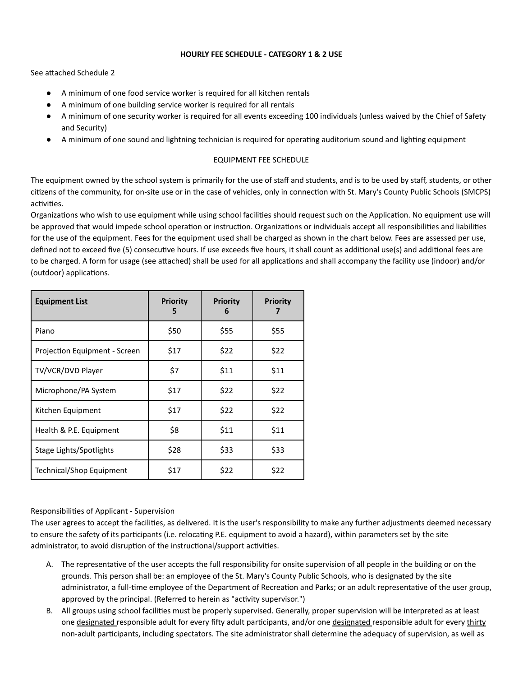### **HOURLY FEE SCHEDULE - CATEGORY 1 & 2 USE**

See attached Schedule 2

- A minimum of one food service worker is required for all kitchen rentals
- A minimum of one building service worker is required for all rentals
- A minimum of one security worker is required for all events exceeding 100 individuals (unless waived by the Chief of Safety and Security)
- A minimum of one sound and lightning technician is required for operating auditorium sound and lighting equipment

## EQUIPMENT FEE SCHEDULE

The equipment owned by the school system is primarily for the use of staff and students, and is to be used by staff, students, or other citizens of the community, for on-site use or in the case of vehicles, only in connection with St. Mary's County Public Schools (SMCPS) activities.

Organizations who wish to use equipment while using school facilities should request such on the Application. No equipment use will be approved that would impede school operation or instruction. Organizations or individuals accept all responsibilities and liabilities for the use of the equipment. Fees for the equipment used shall be charged as shown in the chart below. Fees are assessed per use, defined not to exceed five (5) consecutive hours. If use exceeds five hours, it shall count as additional use(s) and additional fees are to be charged. A form for usage (see attached) shall be used for all applications and shall accompany the facility use (indoor) and/or (outdoor) applications.

| <b>Equipment List</b>         | <b>Priority</b><br>5 | <b>Priority</b><br>6 | <b>Priority</b><br>7 |
|-------------------------------|----------------------|----------------------|----------------------|
| Piano                         | \$50                 | \$55                 | \$55                 |
| Projection Equipment - Screen | \$17                 | \$22                 | \$22                 |
| TV/VCR/DVD Player             | \$7                  | \$11                 | \$11                 |
| Microphone/PA System          | \$17                 | \$22                 | \$22                 |
| Kitchen Equipment             | \$17                 | \$22                 | \$22                 |
| Health & P.E. Equipment       | \$8                  | \$11                 | \$11                 |
| Stage Lights/Spotlights       | \$28                 | \$33                 | \$33                 |
| Technical/Shop Equipment      | \$17                 | \$22                 | \$22                 |

### Responsibilies of Applicant - Supervision

The user agrees to accept the facilities, as delivered. It is the user's responsibility to make any further adjustments deemed necessary to ensure the safety of its participants (i.e. relocating P.E. equipment to avoid a hazard), within parameters set by the site administrator, to avoid disruption of the instructional/support activities.

- A. The representative of the user accepts the full responsibility for onsite supervision of all people in the building or on the grounds. This person shall be: an employee of the St. Mary's County Public Schools, who is designated by the site administrator, a full-time employee of the Department of Recreation and Parks; or an adult representative of the user group, approved by the principal. (Referred to herein as "activity supervisor.")
- B. All groups using school facilies must be properly supervised. Generally, proper supervision will be interpreted as at least one designated responsible adult for every fifty adult participants, and/or one designated responsible adult for every thirty non-adult participants, including spectators. The site administrator shall determine the adequacy of supervision, as well as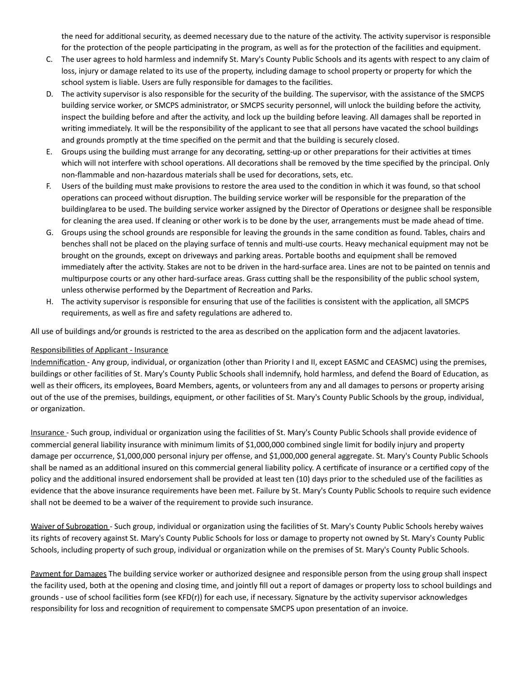the need for additional security, as deemed necessary due to the nature of the activity. The activity supervisor is responsible for the protection of the people participating in the program, as well as for the protection of the facilities and equipment.

- C. The user agrees to hold harmless and indemnify St. Mary's County Public Schools and its agents with respect to any claim of loss, injury or damage related to its use of the property, including damage to school property or property for which the school system is liable. Users are fully responsible for damages to the facilities.
- D. The activity supervisor is also responsible for the security of the building. The supervisor, with the assistance of the SMCPS building service worker, or SMCPS administrator, or SMCPS security personnel, will unlock the building before the activity, inspect the building before and after the activity, and lock up the building before leaving. All damages shall be reported in writing immediately. It will be the responsibility of the applicant to see that all persons have vacated the school buildings and grounds promptly at the time specified on the permit and that the building is securely closed.
- E. Groups using the building must arrange for any decorating, setting-up or other preparations for their activities at times which will not interfere with school operations. All decorations shall be removed by the time specified by the principal. Only non-flammable and non-hazardous materials shall be used for decorations, sets, etc.
- F. Users of the building must make provisions to restore the area used to the condition in which it was found, so that school operations can proceed without disruption. The building service worker will be responsible for the preparation of the building/area to be used. The building service worker assigned by the Director of Operations or designee shall be responsible for cleaning the area used. If cleaning or other work is to be done by the user, arrangements must be made ahead of time.
- G. Groups using the school grounds are responsible for leaving the grounds in the same condition as found. Tables, chairs and benches shall not be placed on the playing surface of tennis and multi-use courts. Heavy mechanical equipment may not be brought on the grounds, except on driveways and parking areas. Portable booths and equipment shall be removed immediately after the activity. Stakes are not to be driven in the hard-surface area. Lines are not to be painted on tennis and multipurpose courts or any other hard-surface areas. Grass cutting shall be the responsibility of the public school system, unless otherwise performed by the Department of Recreation and Parks.
- H. The activity supervisor is responsible for ensuring that use of the facilities is consistent with the application, all SMCPS requirements, as well as fire and safety regulations are adhered to.

All use of buildings and/or grounds is restricted to the area as described on the application form and the adjacent lavatories.

### Responsibilies of Applicant - Insurance

Indemnification - Any group, individual, or organization (other than Priority I and II, except EASMC and CEASMC) using the premises, buildings or other facilities of St. Mary's County Public Schools shall indemnify, hold harmless, and defend the Board of Education, as well as their officers, its employees, Board Members, agents, or volunteers from any and all damages to persons or property arising out of the use of the premises, buildings, equipment, or other facilities of St. Mary's County Public Schools by the group, individual, or organization.

Insurance - Such group, individual or organization using the facilities of St. Mary's County Public Schools shall provide evidence of commercial general liability insurance with minimum limits of \$1,000,000 combined single limit for bodily injury and property damage per occurrence, \$1,000,000 personal injury per offense, and \$1,000,000 general aggregate. St. Mary's County Public Schools shall be named as an additional insured on this commercial general liability policy. A certificate of insurance or a certified copy of the policy and the additional insured endorsement shall be provided at least ten (10) days prior to the scheduled use of the facilities as evidence that the above insurance requirements have been met. Failure by St. Mary's County Public Schools to require such evidence shall not be deemed to be a waiver of the requirement to provide such insurance.

Waiver of Subrogation - Such group, individual or organization using the facilities of St. Mary's County Public Schools hereby waives its rights of recovery against St. Mary's County Public Schools for loss or damage to property not owned by St. Mary's County Public Schools, including property of such group, individual or organization while on the premises of St. Mary's County Public Schools.

Payment for Damages The building service worker or authorized designee and responsible person from the using group shall inspect the facility used, both at the opening and closing time, and jointly fill out a report of damages or property loss to school buildings and grounds - use of school facilities form (see KFD(r)) for each use, if necessary. Signature by the activity supervisor acknowledges responsibility for loss and recognition of requirement to compensate SMCPS upon presentation of an invoice.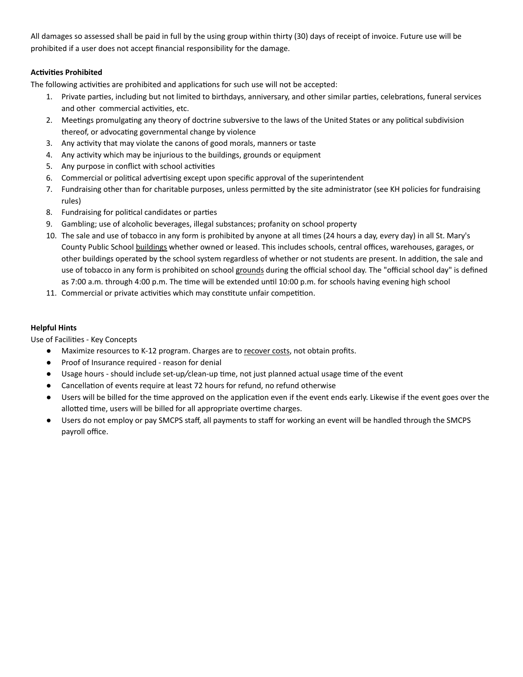All damages so assessed shall be paid in full by the using group within thirty (30) days of receipt of invoice. Future use will be prohibited if a user does not accept financial responsibility for the damage.

## **Activities Prohibited**

The following activities are prohibited and applications for such use will not be accepted:

- 1. Private parties, including but not limited to birthdays, anniversary, and other similar parties, celebrations, funeral services and other commercial activities, etc.
- 2. Meetings promulgating any theory of doctrine subversive to the laws of the United States or any political subdivision thereof, or advocating governmental change by violence
- 3. Any activity that may violate the canons of good morals, manners or taste
- 4. Any activity which may be injurious to the buildings, grounds or equipment
- 5. Any purpose in conflict with school activities
- 6. Commercial or political advertising except upon specific approval of the superintendent
- 7. Fundraising other than for charitable purposes, unless permitted by the site administrator (see KH policies for fundraising rules)
- 8. Fundraising for political candidates or parties
- 9. Gambling; use of alcoholic beverages, illegal substances; profanity on school property
- 10. The sale and use of tobacco in any form is prohibited by anyone at all times (24 hours a day, every day) in all St. Mary's County Public School buildings whether owned or leased. This includes schools, central offices, warehouses, garages, or other buildings operated by the school system regardless of whether or not students are present. In addition, the sale and use of tobacco in any form is prohibited on school grounds during the official school day. The "official school day" is defined as 7:00 a.m. through 4:00 p.m. The time will be extended until 10:00 p.m. for schools having evening high school
- 11. Commercial or private activities which may constitute unfair competition.

## **Helpful Hints**

Use of Facilities - Key Concepts

- Maximize resources to K-12 program. Charges are to recover costs, not obtain profits.
- Proof of Insurance required reason for denial
- Usage hours should include set-up/clean-up time, not just planned actual usage time of the event
- Cancellation of events require at least 72 hours for refund, no refund otherwise
- Users will be billed for the time approved on the application even if the event ends early. Likewise if the event goes over the allotted time, users will be billed for all appropriate overtime charges.
- Users do not employ or pay SMCPS staff, all payments to staff for working an event will be handled through the SMCPS payroll office.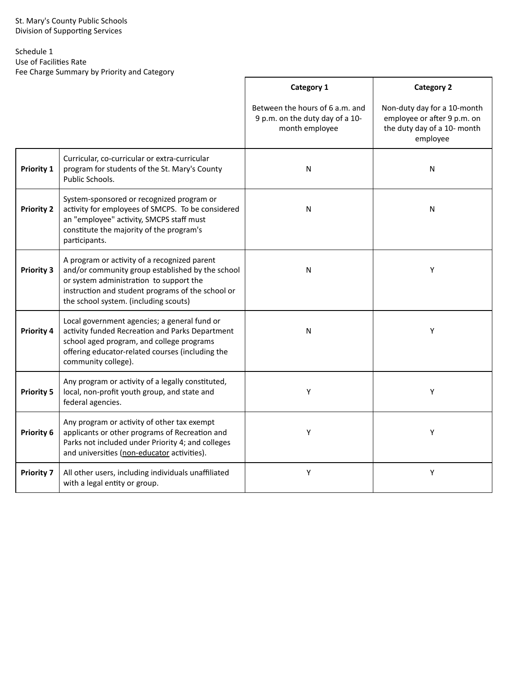# Schedule 1

Use of Facilities Rate

Fee Charge Summary by Priority and Category

|                   |                                                                                                                                                                                                                                           | Category 1                                                                           | <b>Category 2</b>                                                                                     |
|-------------------|-------------------------------------------------------------------------------------------------------------------------------------------------------------------------------------------------------------------------------------------|--------------------------------------------------------------------------------------|-------------------------------------------------------------------------------------------------------|
|                   |                                                                                                                                                                                                                                           | Between the hours of 6 a.m. and<br>9 p.m. on the duty day of a 10-<br>month employee | Non-duty day for a 10-month<br>employee or after 9 p.m. on<br>the duty day of a 10- month<br>employee |
| <b>Priority 1</b> | Curricular, co-curricular or extra-curricular<br>program for students of the St. Mary's County<br>Public Schools.                                                                                                                         | N                                                                                    | ${\sf N}$                                                                                             |
| <b>Priority 2</b> | System-sponsored or recognized program or<br>activity for employees of SMCPS. To be considered<br>an "employee" activity, SMCPS staff must<br>constitute the majority of the program's<br>participants.                                   | N                                                                                    | ${\sf N}$                                                                                             |
| <b>Priority 3</b> | A program or activity of a recognized parent<br>and/or community group established by the school<br>or system administration to support the<br>instruction and student programs of the school or<br>the school system. (including scouts) | ${\sf N}$                                                                            | Υ                                                                                                     |
| <b>Priority 4</b> | Local government agencies; a general fund or<br>activity funded Recreation and Parks Department<br>school aged program, and college programs<br>offering educator-related courses (including the<br>community college).                   | ${\sf N}$                                                                            | Y                                                                                                     |
| <b>Priority 5</b> | Any program or activity of a legally constituted,<br>local, non-profit youth group, and state and<br>federal agencies.                                                                                                                    | Υ                                                                                    | Υ                                                                                                     |
| Priority 6        | Any program or activity of other tax exempt<br>applicants or other programs of Recreation and<br>Parks not included under Priority 4; and colleges<br>and universities (non-educator activities).                                         | Υ                                                                                    | Υ                                                                                                     |
| <b>Priority 7</b> | All other users, including individuals unaffiliated<br>with a legal entity or group.                                                                                                                                                      | Υ                                                                                    | Υ                                                                                                     |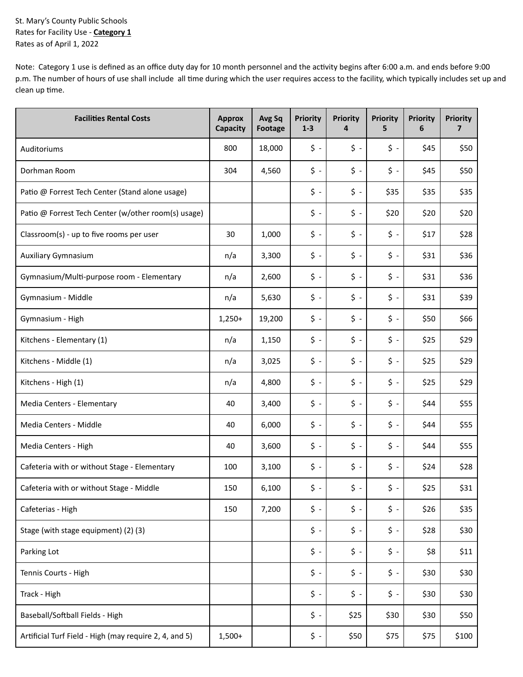St. Mary's County Public Schools Rates for Facility Use - **Category 1** Rates as of April 1, 2022

Note: Category 1 use is defined as an office duty day for 10 month personnel and the activity begins after 6:00 a.m. and ends before 9:00 p.m. The number of hours of use shall include all time during which the user requires access to the facility, which typically includes set up and clean up time.

| <b>Facilities Rental Costs</b>                         | <b>Approx</b><br>Capacity | Avg Sq<br><b>Footage</b> | <b>Priority</b><br>$1 - 3$ | <b>Priority</b><br>4   | <b>Priority</b><br>5 | <b>Priority</b><br>6 | <b>Priority</b><br>7 |
|--------------------------------------------------------|---------------------------|--------------------------|----------------------------|------------------------|----------------------|----------------------|----------------------|
| Auditoriums                                            | 800                       | 18,000                   | $\uparrow$ -               | \$ -                   | \$ -                 | \$45                 | \$50                 |
| Dorhman Room                                           | 304                       | 4,560                    | $\ddot{\phi}$ -            | $\ddot{\phi}$ -        | $\ddot{\phi}$ -      | \$45                 | \$50                 |
| Patio @ Forrest Tech Center (Stand alone usage)        |                           |                          | $\ddot{\phi}$ -            | \$ -                   | \$35                 | \$35                 | \$35                 |
| Patio @ Forrest Tech Center (w/other room(s) usage)    |                           |                          | $\boldsymbol{\zeta}$ -     | \$ -                   | \$20                 | \$20                 | \$20                 |
| Classroom(s) - up to five rooms per user               | 30                        | 1,000                    | $\boldsymbol{\zeta}$ -     | $\boldsymbol{\zeta}$ . | \$ -                 | \$17                 | \$28                 |
| Auxiliary Gymnasium                                    | n/a                       | 3,300                    | $\ddot{\phi}$ -            | $\boldsymbol{\zeta}$ . | $\ddot{\phi}$ -      | \$31                 | \$36                 |
| Gymnasium/Multi-purpose room - Elementary              | n/a                       | 2,600                    | $\ddot{\phi}$ -            | \$ -                   | \$ -                 | \$31                 | \$36                 |
| Gymnasium - Middle                                     | n/a                       | 5,630                    | $\ddot{\phi}$ -            | \$ -                   | $\ddot{\phi}$ -      | \$31                 | \$39                 |
| Gymnasium - High                                       | $1,250+$                  | 19,200                   | $\ddot{\phi}$ -            | \$ -                   | \$ -                 | \$50                 | \$66                 |
| Kitchens - Elementary (1)                              | n/a                       | 1,150                    | $\zeta$ -                  | $\zeta$ -              | $\zeta$ -            | \$25                 | \$29                 |
| Kitchens - Middle (1)                                  | n/a                       | 3,025                    | \$ -                       | \$ -                   | $\ddot{\phi}$ -      | \$25                 | \$29                 |
| Kitchens - High (1)                                    | n/a                       | 4,800                    | $\ddot{\phi}$ -            | \$ -                   | \$ -                 | \$25                 | \$29                 |
| Media Centers - Elementary                             | 40                        | 3,400                    | $\boldsymbol{\zeta}$ .     | \$ -                   | \$ -                 | \$44                 | \$55                 |
| Media Centers - Middle                                 | 40                        | 6,000                    | $\ddot{\phi}$ -            | $\boldsymbol{\zeta}$ . | \$ -                 | \$44                 | \$55                 |
| Media Centers - High                                   | 40                        | 3,600                    | \$ -                       | \$ -                   | \$ -                 | \$44                 | \$55                 |
| Cafeteria with or without Stage - Elementary           | 100                       | 3,100                    | $\uparrow$ -               | \$ -                   | \$ -                 | \$24                 | \$28                 |
| Cafeteria with or without Stage - Middle               | 150                       | 6,100                    | \$ -                       | \$ -                   | \$ -                 | \$25                 | \$31                 |
| Cafeterias - High                                      | 150                       | 7,200                    | $\zeta$ -                  | $\ddot{\phi}$ -        | $\zeta$ -            | \$26                 | \$35                 |
| Stage (with stage equipment) (2) (3)                   |                           |                          | \$ -                       | \$ -                   | $\zeta$ -            | \$28                 | \$30                 |
| Parking Lot                                            |                           |                          | \$ -                       | $\ddot{\phi}$ -        | \$ -                 | \$8                  | \$11                 |
| Tennis Courts - High                                   |                           |                          | $\boldsymbol{\zeta}$ .     | $\boldsymbol{\zeta}$ . | \$ -                 | \$30                 | \$30                 |
| Track - High                                           |                           |                          | $\boldsymbol{\zeta}$ .     | $\boldsymbol{\zeta}$ . | \$ -                 | \$30                 | \$30                 |
| Baseball/Softball Fields - High                        |                           |                          | $\boldsymbol{\zeta}$ .     | \$25                   | \$30                 | \$30                 | \$50                 |
| Artificial Turf Field - High (may require 2, 4, and 5) | $1,500+$                  |                          | \$ -                       | \$50                   | \$75                 | \$75                 | \$100                |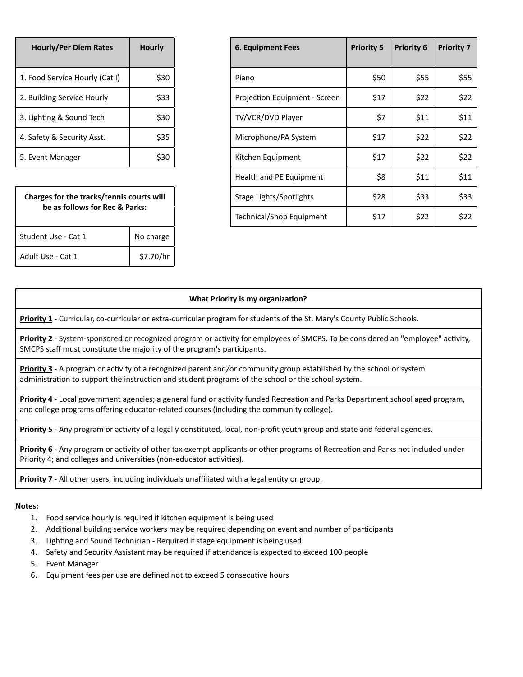| <b>Hourly/Per Diem Rates</b>   | <b>Hourly</b> |
|--------------------------------|---------------|
| 1. Food Service Hourly (Cat I) | \$30          |
| 2. Building Service Hourly     | \$33          |
| 3. Lighting & Sound Tech       | \$30          |
| 4. Safety & Security Asst.     | \$35          |
| 5. Event Manager               |               |

| Charges for the tracks/tennis courts will<br>be as follows for Rec & Parks: |           |  |  |  |  |
|-----------------------------------------------------------------------------|-----------|--|--|--|--|
| Student Use - Cat 1                                                         | No charge |  |  |  |  |
| Adult Use - Cat 1                                                           | \$7.70/hr |  |  |  |  |

| <b>Hourly/Per Diem Rates</b>              | <b>Hourly</b> | <b>6. Equipment Fees</b>      | <b>Priority 5</b> | <b>Priority 6</b> | <b>Priority 7</b> |
|-------------------------------------------|---------------|-------------------------------|-------------------|-------------------|-------------------|
| 1. Food Service Hourly (Cat I)            | \$30          | Piano                         | \$50              | \$55              | \$55              |
| 2. Building Service Hourly                | \$33          | Projection Equipment - Screen | \$17              | \$22              | \$22              |
| 3. Lighting & Sound Tech                  | \$30          | TV/VCR/DVD Player             | \$7               | \$11              | \$11              |
| 4. Safety & Security Asst.                | \$35          | Microphone/PA System          | \$17              | \$22              | \$22              |
| 5. Event Manager                          | \$30          | Kitchen Equipment             | \$17              | \$22              | \$22              |
|                                           |               | Health and PE Equipment       | \$8               | \$11              | \$11              |
| Charges for the tracks/tennis courts will |               | Stage Lights/Spotlights       | \$28              | \$33              | \$33              |
| be as follows for Rec & Parks:            |               | Technical/Shop Equipment      | \$17              | \$22              | \$22              |
|                                           |               |                               |                   |                   |                   |

#### **What Priority is my organization?**

**Priority 1** - Curricular, co-curricular or extra-curricular program for students of the St. Mary's County Public Schools.

Priority 2 - System-sponsored or recognized program or activity for employees of SMCPS. To be considered an "employee" activity, SMCPS staff must constitute the majority of the program's participants.

**Priority 3** - A program or activity of a recognized parent and/or community group established by the school or system administration to support the instruction and student programs of the school or the school system.

Priority 4 - Local government agencies; a general fund or activity funded Recreation and Parks Department school aged program, and college programs offering educator-related courses (including the community college).

**Priority 5** - Any program or activity of a legally constituted, local, non-profit youth group and state and federal agencies.

**Priority 6** - Any program or activity of other tax exempt applicants or other programs of Recreation and Parks not included under Priority 4; and colleges and universities (non-educator activities).

**Priority 7** - All other users, including individuals unaffiliated with a legal entity or group.

#### **Notes:**

- 1. Food service hourly is required if kitchen equipment is being used
- 2. Additional building service workers may be required depending on event and number of participants
- 3. Lighting and Sound Technician Required if stage equipment is being used
- 4. Safety and Security Assistant may be required if attendance is expected to exceed 100 people
- 5. Event Manager
- 6. Equipment fees per use are defined not to exceed 5 consecutive hours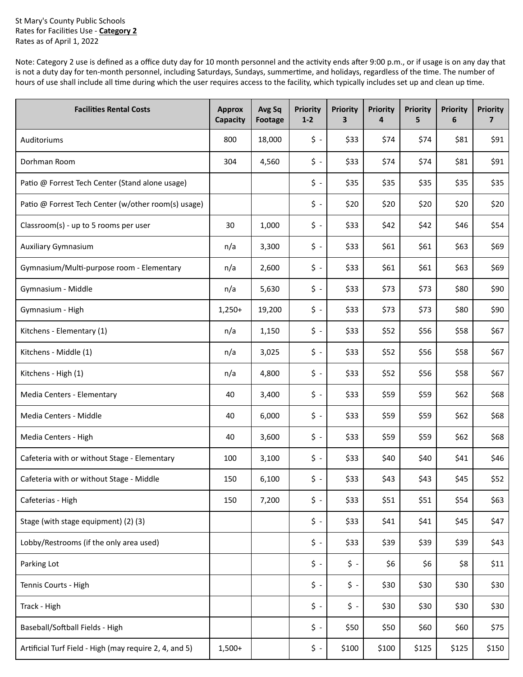St Mary's County Public Schools Rates for Facilies Use - **Category 2** Rates as of April 1, 2022

Note: Category 2 use is defined as a office duty day for 10 month personnel and the activity ends after 9:00 p.m., or if usage is on any day that is not a duty day for ten-month personnel, including Saturdays, Sundays, summertime, and holidays, regardless of the time. The number of hours of use shall include all time during which the user requires access to the facility, which typically includes set up and clean up time.

| <b>Facilities Rental Costs</b>                         | <b>Approx</b><br>Capacity | Avg Sq<br><b>Footage</b> | <b>Priority</b><br>$1 - 2$ | <b>Priority</b><br>3   | <b>Priority</b><br>4 | <b>Priority</b><br>5 | <b>Priority</b><br>6 | <b>Priority</b><br>7 |
|--------------------------------------------------------|---------------------------|--------------------------|----------------------------|------------------------|----------------------|----------------------|----------------------|----------------------|
| Auditoriums                                            | 800                       | 18,000                   | $\uparrow$ -               | \$33                   | \$74                 | \$74                 | \$81                 | \$91                 |
| Dorhman Room                                           | 304                       | 4,560                    | $\zeta$ -                  | \$33                   | \$74                 | \$74                 | \$81                 | \$91                 |
| Patio @ Forrest Tech Center (Stand alone usage)        |                           |                          | $\zeta$ -                  | \$35                   | \$35                 | \$35                 | \$35                 | \$35                 |
| Patio @ Forrest Tech Center (w/other room(s) usage)    |                           |                          | $\zeta$ -                  | \$20                   | \$20                 | \$20                 | \$20                 | \$20                 |
| Classroom(s) - up to 5 rooms per user                  | 30                        | 1,000                    | $\zeta$ -                  | \$33                   | \$42                 | \$42                 | \$46                 | \$54                 |
| Auxiliary Gymnasium                                    | n/a                       | 3,300                    | $\ddot{\textsf{s}}$ -      | \$33                   | \$61                 | \$61                 | \$63                 | \$69                 |
| Gymnasium/Multi-purpose room - Elementary              | n/a                       | 2,600                    | $\ddot{\textsf{s}}$ -      | \$33                   | \$61                 | \$61                 | \$63                 | \$69                 |
| Gymnasium - Middle                                     | n/a                       | 5,630                    | $\zeta$ -                  | \$33                   | \$73                 | \$73                 | \$80                 | \$90                 |
| Gymnasium - High                                       | $1,250+$                  | 19,200                   | $\ddot{\textsf{s}}$ -      | \$33                   | \$73                 | \$73                 | \$80                 | \$90                 |
| Kitchens - Elementary (1)                              | n/a                       | 1,150                    | $\zeta$ -                  | \$33                   | \$52                 | \$56                 | \$58                 | \$67                 |
| Kitchens - Middle (1)                                  | n/a                       | 3,025                    | $\zeta$ -                  | \$33                   | \$52                 | \$56                 | \$58                 | \$67                 |
| Kitchens - High (1)                                    | n/a                       | 4,800                    | $\zeta$ -                  | \$33                   | \$52                 | \$56                 | \$58                 | \$67                 |
| Media Centers - Elementary                             | 40                        | 3,400                    | $\zeta$ -                  | \$33                   | \$59                 | \$59                 | \$62                 | \$68                 |
| Media Centers - Middle                                 | 40                        | 6,000                    | $\ddot{\textsf{s}}$ -      | \$33                   | \$59                 | \$59                 | \$62                 | \$68                 |
| Media Centers - High                                   | 40                        | 3,600                    | $\ddot{\textsf{s}}$ -      | \$33                   | \$59                 | \$59                 | \$62                 | \$68                 |
| Cafeteria with or without Stage - Elementary           | 100                       | 3,100                    | $\ddot{\textsf{s}}$ -      | \$33                   | \$40                 | \$40                 | \$41                 | \$46                 |
| Cafeteria with or without Stage - Middle               | 150                       | 6,100                    | \$ -                       | \$33                   | \$43                 | \$43                 | \$45                 | \$52                 |
| Cafeterias - High                                      | 150                       | 7,200                    | $\zeta$ -                  | \$33                   | \$51                 | \$51                 | \$54                 | \$63                 |
| Stage (with stage equipment) (2) (3)                   |                           |                          | $\zeta$ -                  | \$33                   | \$41                 | \$41                 | \$45                 | \$47                 |
| Lobby/Restrooms (if the only area used)                |                           |                          | $\zeta$ -                  | \$33                   | \$39                 | \$39                 | \$39                 | \$43                 |
| Parking Lot                                            |                           |                          | $\zeta$ -                  | $\uparrow$ -           | \$6                  | \$6                  | \$8                  | \$11                 |
| Tennis Courts - High                                   |                           |                          | $\ddot{\textsf{s}}$ -      | $\boldsymbol{\zeta}$ - | \$30                 | \$30                 | \$30                 | \$30                 |
| Track - High                                           |                           |                          | $\zeta$ -                  | $\boldsymbol{\zeta}$ - | \$30                 | \$30                 | \$30                 | \$30                 |
| Baseball/Softball Fields - High                        |                           |                          | $\zeta$ -                  | \$50                   | \$50                 | \$60                 | \$60                 | \$75                 |
| Artificial Turf Field - High (may require 2, 4, and 5) | $1,500+$                  |                          | $\boldsymbol{\zeta}$ -     | \$100                  | \$100                | \$125                | \$125                | \$150                |